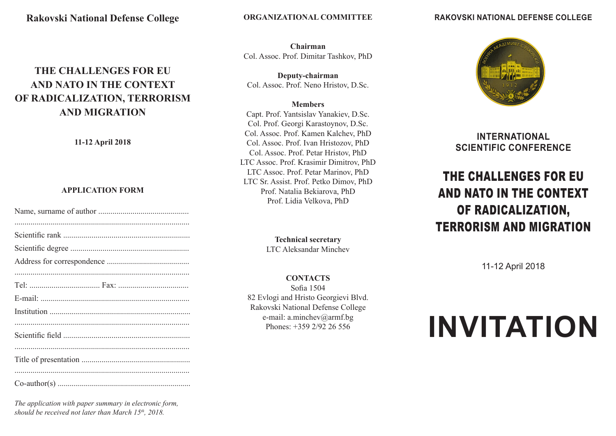### **Rakovski National Defense College**

# **THE CHALLENGES FOR EU AND NATO IN THE CONTEXT OF RADICALIZATION, TERRORISM AND MIGRATION**

**11-12 April 2018**

#### **APPLICATION FORM**

*The application with paper summary in electronic form, should be received not later than March 15th, 2018.*

**RAKOVSKI NATIONAL DEFENSE COLLEGE** 

**Chairman** Col. Assoc. Prof. Dimitar Tashkov, PhD

**Deputy-chairman** Col. Assoc. Prof. Neno Hristov, D.Sc.

#### **Members**

Capt. Prof. Yantsislav Yanakiev, D.Sc. Col. Prof. Georgi Karastoynov, D.Sc. Col. Assoc. Prof. Kamen Kalchev, PhD Col. Assoc. Prof. Ivan Hristozov, PhD Col. Assoc. Prof. Petar Hristov, PhD LTC Assoc. Prof. Krasimir Dimitrov, PhD LTC Assoc. Prof. Petar Marinov, PhD LTC Sr. Assist. Prof. Petko Dimov, PhD Prof. Natalia Bekiarova, PhD Prof. Lidia Velkova, PhD

> **Technical secretary** LTC Aleksandar Minchev

**CONTACTS** Sofia 1504 82 Evlogi and Hristo Georgievi Blvd. Rakovski National Defense College e-mail: a.minchev@armf.bg Phones: +359 2/92 26 556



## **INTERNATIONAL SCIENTIFIC CONFERENCE**

# THE CHALLENGES FOR EU AND NATO IN THE CONTEXT OF RADICALIZATION, TERRORISM AND MIGRATION

11-12 April 2018

# **INVITATION**